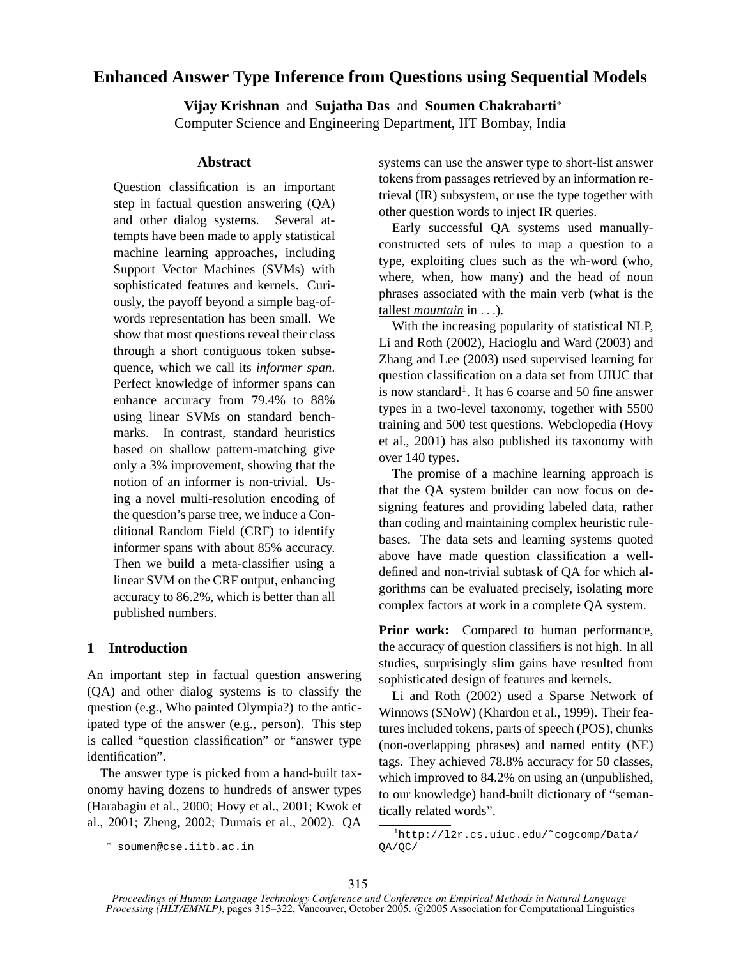# **Enhanced Answer Type Inference from Questions using Sequential Models**

**Vijay Krishnan** and **Sujatha Das** and **Soumen Chakrabarti**<sup>∗</sup> Computer Science and Engineering Department, IIT Bombay, India

### **Abstract**

Question classification is an important step in factual question answering (QA) and other dialog systems. Several attempts have been made to apply statistical machine learning approaches, including Support Vector Machines (SVMs) with sophisticated features and kernels. Curiously, the payoff beyond a simple bag-ofwords representation has been small. We show that most questions reveal their class through a short contiguous token subsequence, which we call its *informer span*. Perfect knowledge of informer spans can enhance accuracy from 79.4% to 88% using linear SVMs on standard benchmarks. In contrast, standard heuristics based on shallow pattern-matching give only a 3% improvement, showing that the notion of an informer is non-trivial. Using a novel multi-resolution encoding of the question's parse tree, we induce a Conditional Random Field (CRF) to identify informer spans with about 85% accuracy. Then we build a meta-classifier using a linear SVM on the CRF output, enhancing accuracy to 86.2%, which is better than all published numbers.

# **1 Introduction**

An important step in factual question answering (QA) and other dialog systems is to classify the question (e.g., Who painted Olympia?) to the anticipated type of the answer (e.g., person). This step is called "question classification" or "answer type identification".

The answer type is picked from a hand-built taxonomy having dozens to hundreds of answer types (Harabagiu et al., 2000; Hovy et al., 2001; Kwok et al., 2001; Zheng, 2002; Dumais et al., 2002). QA systems can use the answer type to short-list answer tokens from passages retrieved by an information retrieval (IR) subsystem, or use the type together with other question words to inject IR queries.

Early successful QA systems used manuallyconstructed sets of rules to map a question to a type, exploiting clues such as the wh-word (who, where, when, how many) and the head of noun phrases associated with the main verb (what is the tallest *mountain* in . . .).

With the increasing popularity of statistical NLP, Li and Roth (2002), Hacioglu and Ward (2003) and Zhang and Lee (2003) used supervised learning for question classification on a data set from UIUC that is now standard<sup>1</sup>. It has 6 coarse and 50 fine answer types in a two-level taxonomy, together with 5500 training and 500 test questions. Webclopedia (Hovy et al., 2001) has also published its taxonomy with over 140 types.

The promise of a machine learning approach is that the QA system builder can now focus on designing features and providing labeled data, rather than coding and maintaining complex heuristic rulebases. The data sets and learning systems quoted above have made question classification a welldefined and non-trivial subtask of QA for which algorithms can be evaluated precisely, isolating more complex factors at work in a complete QA system.

**Prior work:** Compared to human performance, the accuracy of question classifiers is not high. In all studies, surprisingly slim gains have resulted from sophisticated design of features and kernels.

Li and Roth (2002) used a Sparse Network of Winnows (SNoW) (Khardon et al., 1999). Their features included tokens, parts of speech (POS), chunks (non-overlapping phrases) and named entity (NE) tags. They achieved 78.8% accuracy for 50 classes, which improved to 84.2% on using an (unpublished, to our knowledge) hand-built dictionary of "semantically related words".

<sup>∗</sup> soumen@cse.iitb.ac.in

<sup>1</sup>http://l2r.cs.uiuc.edu/˜cogcomp/Data/ QA/QC/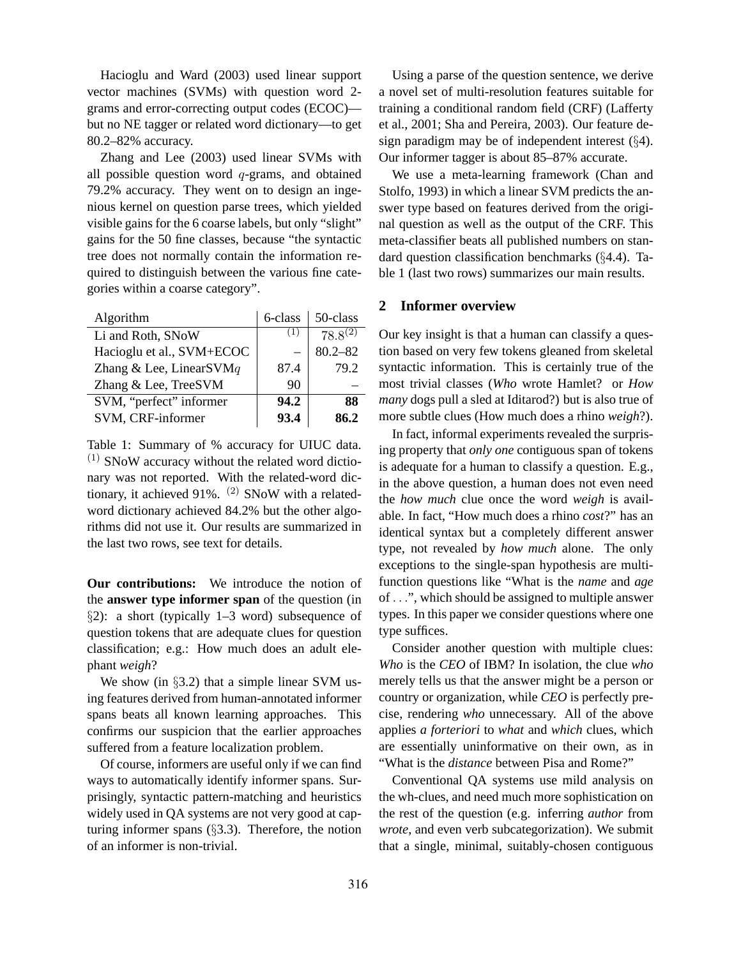Hacioglu and Ward (2003) used linear support vector machines (SVMs) with question word 2 grams and error-correcting output codes (ECOC) but no NE tagger or related word dictionary—to get 80.2–82% accuracy.

Zhang and Lee (2003) used linear SVMs with all possible question word  $q$ -grams, and obtained 79.2% accuracy. They went on to design an ingenious kernel on question parse trees, which yielded visible gains for the 6 coarse labels, but only "slight" gains for the 50 fine classes, because "the syntactic tree does not normally contain the information required to distinguish between the various fine categories within a coarse category".

| Algorithm                 | 6-class | 50-class                |
|---------------------------|---------|-------------------------|
| Li and Roth, SNoW         | (1)     | $78.\overline{8}^{(2)}$ |
| Hacioglu et al., SVM+ECOC |         | $80.2 - 82$             |
| Zhang & Lee, LinearSVMq   | 87.4    | 79.2                    |
| Zhang & Lee, TreeSVM      | 90      |                         |
| SVM, "perfect" informer   | 94.2    | 88                      |
| SVM, CRF-informer         | 93.4    | 86 2                    |

Table 1: Summary of % accuracy for UIUC data.  $(1)$  SNoW accuracy without the related word dictionary was not reported. With the related-word dictionary, it achieved 91%.  $(2)$  SNoW with a relatedword dictionary achieved 84.2% but the other algorithms did not use it. Our results are summarized in the last two rows, see text for details.

**Our contributions:** We introduce the notion of the **answer type informer span** of the question (in  $\S2$ : a short (typically 1–3 word) subsequence of question tokens that are adequate clues for question classification; e.g.: How much does an adult elephant *weigh*?

We show (in §3.2) that a simple linear SVM using features derived from human-annotated informer spans beats all known learning approaches. This confirms our suspicion that the earlier approaches suffered from a feature localization problem.

Of course, informers are useful only if we can find ways to automatically identify informer spans. Surprisingly, syntactic pattern-matching and heuristics widely used in QA systems are not very good at capturing informer spans (§3.3). Therefore, the notion of an informer is non-trivial.

Using a parse of the question sentence, we derive a novel set of multi-resolution features suitable for training a conditional random field (CRF) (Lafferty et al., 2001; Sha and Pereira, 2003). Our feature design paradigm may be of independent interest  $(\S4)$ . Our informer tagger is about 85–87% accurate.

We use a meta-learning framework (Chan and Stolfo, 1993) in which a linear SVM predicts the answer type based on features derived from the original question as well as the output of the CRF. This meta-classifier beats all published numbers on standard question classification benchmarks (§4.4). Table 1 (last two rows) summarizes our main results.

### **2 Informer overview**

Our key insight is that a human can classify a question based on very few tokens gleaned from skeletal syntactic information. This is certainly true of the most trivial classes (*Who* wrote Hamlet? or *How many* dogs pull a sled at Iditarod?) but is also true of more subtle clues (How much does a rhino *weigh*?).

In fact, informal experiments revealed the surprising property that *only one* contiguous span of tokens is adequate for a human to classify a question. E.g., in the above question, a human does not even need the *how much* clue once the word *weigh* is available. In fact, "How much does a rhino *cost*?" has an identical syntax but a completely different answer type, not revealed by *how much* alone. The only exceptions to the single-span hypothesis are multifunction questions like "What is the *name* and *age* of . . .", which should be assigned to multiple answer types. In this paper we consider questions where one type suffices.

Consider another question with multiple clues: *Who* is the *CEO* of IBM? In isolation, the clue *who* merely tells us that the answer might be a person or country or organization, while *CEO* is perfectly precise, rendering *who* unnecessary. All of the above applies *a forteriori* to *what* and *which* clues, which are essentially uninformative on their own, as in "What is the *distance* between Pisa and Rome?"

Conventional QA systems use mild analysis on the wh-clues, and need much more sophistication on the rest of the question (e.g. inferring *author* from *wrote*, and even verb subcategorization). We submit that a single, minimal, suitably-chosen contiguous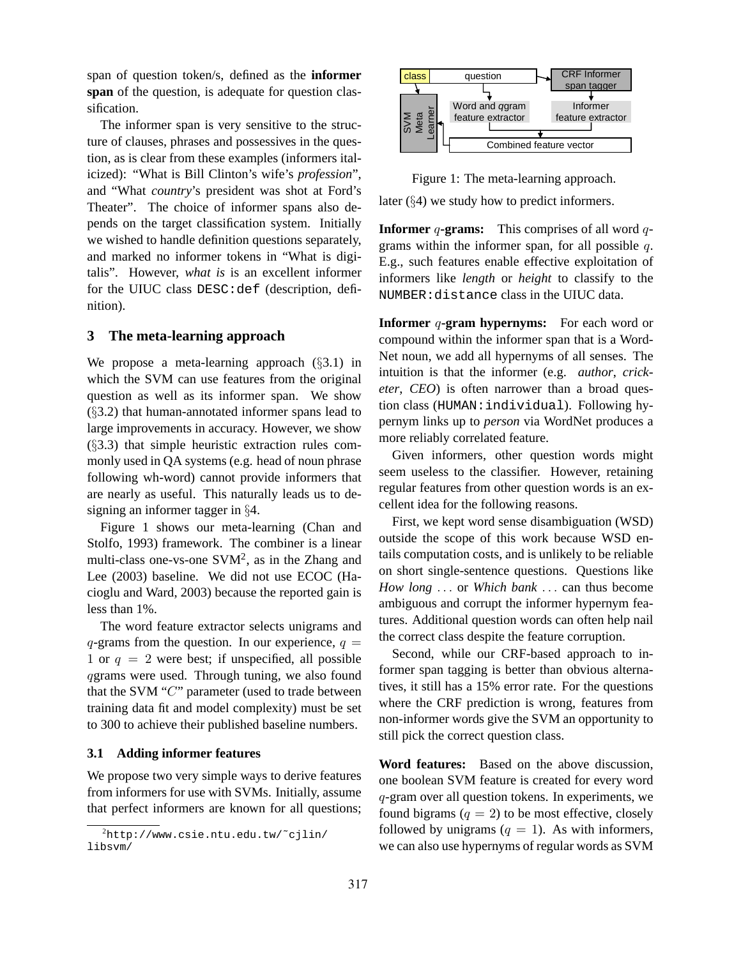span of question token/s, defined as the **informer span** of the question, is adequate for question classification.

The informer span is very sensitive to the structure of clauses, phrases and possessives in the question, as is clear from these examples (informers italicized): "What is Bill Clinton's wife's *profession*", and "What *country*'s president was shot at Ford's Theater". The choice of informer spans also depends on the target classification system. Initially we wished to handle definition questions separately, and marked no informer tokens in "What is digitalis". However, *what is* is an excellent informer for the UIUC class DESC:def (description, definition).

# **3 The meta-learning approach**

We propose a meta-learning approach (§3.1) in which the SVM can use features from the original question as well as its informer span. We show (§3.2) that human-annotated informer spans lead to large improvements in accuracy. However, we show (§3.3) that simple heuristic extraction rules commonly used in QA systems (e.g. head of noun phrase following wh-word) cannot provide informers that are nearly as useful. This naturally leads us to designing an informer tagger in §4.

Figure 1 shows our meta-learning (Chan and Stolfo, 1993) framework. The combiner is a linear multi-class one-vs-one SVM<sup>2</sup>, as in the Zhang and Lee (2003) baseline. We did not use ECOC (Hacioglu and Ward, 2003) because the reported gain is less than 1%.

The word feature extractor selects unigrams and  $q$ -grams from the question. In our experience,  $q =$ 1 or  $q = 2$  were best; if unspecified, all possible qgrams were used. Through tuning, we also found that the SVM "C" parameter (used to trade between training data fit and model complexity) must be set to 300 to achieve their published baseline numbers.

#### **3.1 Adding informer features**

We propose two very simple ways to derive features from informers for use with SVMs. Initially, assume that perfect informers are known for all questions;



Figure 1: The meta-learning approach. later (§4) we study how to predict informers.

**Informer** q-grams: This comprises of all word qgrams within the informer span, for all possible q. E.g., such features enable effective exploitation of informers like *length* or *height* to classify to the NUMBER:distance class in the UIUC data.

**Informer** q-gram **hypernyms:** For each word or compound within the informer span that is a Word-Net noun, we add all hypernyms of all senses. The intuition is that the informer (e.g. *author*, *cricketer*, *CEO*) is often narrower than a broad question class (HUMAN:individual). Following hypernym links up to *person* via WordNet produces a more reliably correlated feature.

Given informers, other question words might seem useless to the classifier. However, retaining regular features from other question words is an excellent idea for the following reasons.

First, we kept word sense disambiguation (WSD) outside the scope of this work because WSD entails computation costs, and is unlikely to be reliable on short single-sentence questions. Questions like *How long* . . . or *Which bank* . . . can thus become ambiguous and corrupt the informer hypernym features. Additional question words can often help nail the correct class despite the feature corruption.

Second, while our CRF-based approach to informer span tagging is better than obvious alternatives, it still has a 15% error rate. For the questions where the CRF prediction is wrong, features from non-informer words give the SVM an opportunity to still pick the correct question class.

**Word features:** Based on the above discussion, one boolean SVM feature is created for every word q-gram over all question tokens. In experiments, we found bigrams  $(q = 2)$  to be most effective, closely followed by unigrams  $(q = 1)$ . As with informers, we can also use hypernyms of regular words as SVM

 $^{2}$ http://www.csie.ntu.edu.tw/~cjlin/ libsvm/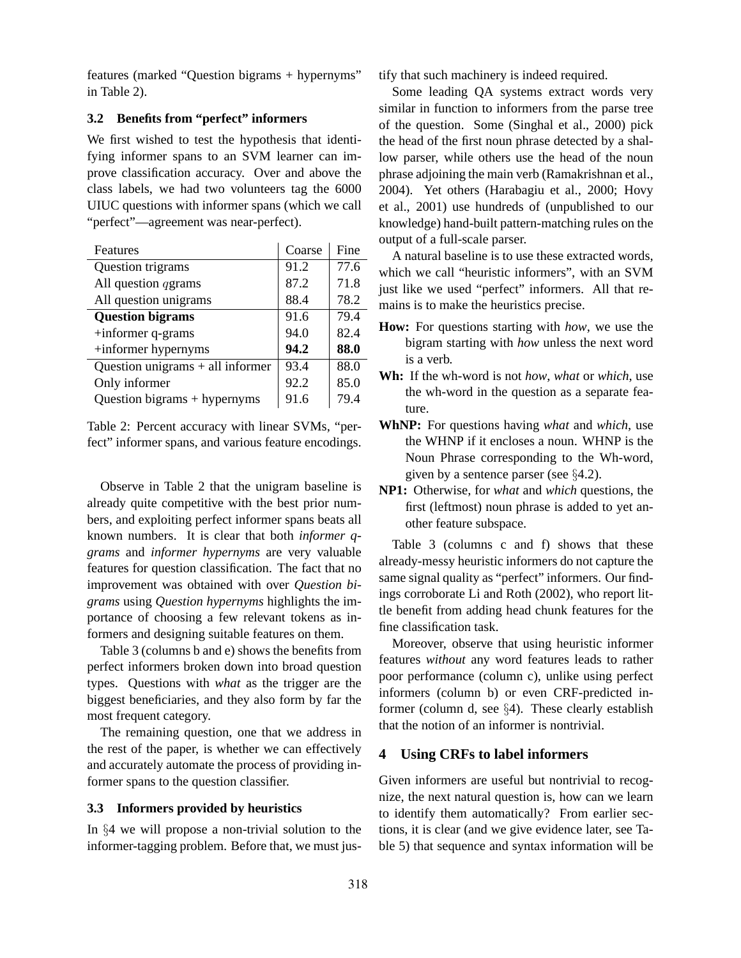features (marked "Question bigrams + hypernyms" in Table 2).

# **3.2 Benefits from "perfect" informers**

We first wished to test the hypothesis that identifying informer spans to an SVM learner can improve classification accuracy. Over and above the class labels, we had two volunteers tag the 6000 UIUC questions with informer spans (which we call "perfect"—agreement was near-perfect).

| Features                           | Coarse | Fine |
|------------------------------------|--------|------|
| Question trigrams                  | 91.2   | 77.6 |
| All question <i>qgrams</i>         | 87.2   | 71.8 |
| All question unigrams              | 88.4   | 78.2 |
| <b>Question bigrams</b>            | 91.6   | 79.4 |
| $+$ informer q-grams               | 94.0   | 82.4 |
| +informer hypernyms                | 94.2   | 88.0 |
| Question unigrams $+$ all informer | 93.4   | 88.0 |
| Only informer                      | 92.2   | 85.0 |
| Question bigrams + hypernyms       | 91.6   | 79.4 |

Table 2: Percent accuracy with linear SVMs, "perfect" informer spans, and various feature encodings.

Observe in Table 2 that the unigram baseline is already quite competitive with the best prior numbers, and exploiting perfect informer spans beats all known numbers. It is clear that both *informer qgrams* and *informer hypernyms* are very valuable features for question classification. The fact that no improvement was obtained with over *Question bigrams* using *Question hypernyms* highlights the importance of choosing a few relevant tokens as informers and designing suitable features on them.

Table 3 (columns b and e) shows the benefits from perfect informers broken down into broad question types. Questions with *what* as the trigger are the biggest beneficiaries, and they also form by far the most frequent category.

The remaining question, one that we address in the rest of the paper, is whether we can effectively and accurately automate the process of providing informer spans to the question classifier.

# **3.3 Informers provided by heuristics**

In §4 we will propose a non-trivial solution to the informer-tagging problem. Before that, we must justify that such machinery is indeed required.

Some leading QA systems extract words very similar in function to informers from the parse tree of the question. Some (Singhal et al., 2000) pick the head of the first noun phrase detected by a shallow parser, while others use the head of the noun phrase adjoining the main verb (Ramakrishnan et al., 2004). Yet others (Harabagiu et al., 2000; Hovy et al., 2001) use hundreds of (unpublished to our knowledge) hand-built pattern-matching rules on the output of a full-scale parser.

A natural baseline is to use these extracted words, which we call "heuristic informers", with an SVM just like we used "perfect" informers. All that remains is to make the heuristics precise.

- **How:** For questions starting with *how*, we use the bigram starting with *how* unless the next word is a verb.
- **Wh:** If the wh-word is not *how*, *what* or *which*, use the wh-word in the question as a separate feature.
- **WhNP:** For questions having *what* and *which*, use the WHNP if it encloses a noun. WHNP is the Noun Phrase corresponding to the Wh-word, given by a sentence parser (see §4.2).
- **NP1:** Otherwise, for *what* and *which* questions, the first (leftmost) noun phrase is added to yet another feature subspace.

Table 3 (columns c and f) shows that these already-messy heuristic informers do not capture the same signal quality as "perfect" informers. Our findings corroborate Li and Roth (2002), who report little benefit from adding head chunk features for the fine classification task.

Moreover, observe that using heuristic informer features *without* any word features leads to rather poor performance (column c), unlike using perfect informers (column b) or even CRF-predicted informer (column d, see §4). These clearly establish that the notion of an informer is nontrivial.

# **4 Using CRFs to label informers**

Given informers are useful but nontrivial to recognize, the next natural question is, how can we learn to identify them automatically? From earlier sections, it is clear (and we give evidence later, see Table 5) that sequence and syntax information will be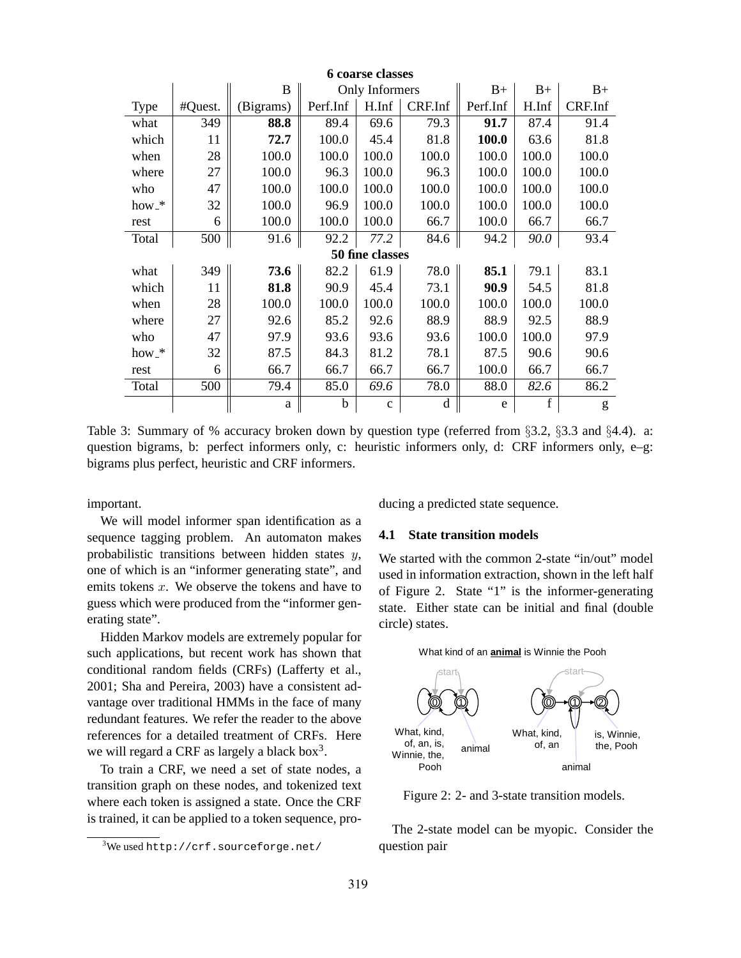| <b>6</b> coarse classes |         |              |                |                 |             |          |             |         |
|-------------------------|---------|--------------|----------------|-----------------|-------------|----------|-------------|---------|
|                         |         | B            | Only Informers |                 |             | $B+$     | $B+$        | $B+$    |
| <b>Type</b>             | #Quest. | (Bigrams)    | Perf.Inf       | H.Inf           | CRF.Inf     | Perf.Inf | H.Inf       | CRF.Inf |
| what                    | 349     | 88.8         | 89.4           | 69.6            | 79.3        | 91.7     | 87.4        | 91.4    |
| which                   | 11      | 72.7         | 100.0          | 45.4            | 81.8        | 100.0    | 63.6        | 81.8    |
| when                    | 28      | 100.0        | 100.0          | 100.0           | 100.0       | 100.0    | 100.0       | 100.0   |
| where                   | 27      | 100.0        | 96.3           | 100.0           | 96.3        | 100.0    | 100.0       | 100.0   |
| who                     | 47      | 100.0        | 100.0          | 100.0           | 100.0       | 100.0    | 100.0       | 100.0   |
| $how.*$                 | 32      | 100.0        | 96.9           | 100.0           | 100.0       | 100.0    | 100.0       | 100.0   |
| rest                    | 6       | 100.0        | 100.0          | 100.0           | 66.7        | 100.0    | 66.7        | 66.7    |
| Total                   | 500     | 91.6         | 92.2           | 77.2            | 84.6        | 94.2     | 90.0        | 93.4    |
|                         |         |              |                | 50 fine classes |             |          |             |         |
| what                    | 349     | 73.6         | 82.2           | 61.9            | 78.0        | 85.1     | 79.1        | 83.1    |
| which                   | 11      | 81.8         | 90.9           | 45.4            | 73.1        | 90.9     | 54.5        | 81.8    |
| when                    | 28      | 100.0        | 100.0          | 100.0           | 100.0       | 100.0    | 100.0       | 100.0   |
| where                   | 27      | 92.6         | 85.2           | 92.6            | 88.9        | 88.9     | 92.5        | 88.9    |
| who                     | 47      | 97.9         | 93.6           | 93.6            | 93.6        | 100.0    | 100.0       | 97.9    |
| $how.*$                 | 32      | 87.5         | 84.3           | 81.2            | 78.1        | 87.5     | 90.6        | 90.6    |
| rest                    | 6       | 66.7         | 66.7           | 66.7            | 66.7        | 100.0    | 66.7        | 66.7    |
| Total                   | 500     | 79.4         | 85.0           | 69.6            | 78.0        | 88.0     | 82.6        | 86.2    |
|                         |         | $\mathbf{a}$ | b              | $\mathbf{C}$    | $\mathbf d$ | e        | $\mathbf f$ | g       |

Table 3: Summary of % accuracy broken down by question type (referred from §3.2, §3.3 and §4.4). a: question bigrams, b: perfect informers only, c: heuristic informers only, d: CRF informers only, e–g: bigrams plus perfect, heuristic and CRF informers.

important.

We will model informer span identification as a sequence tagging problem. An automaton makes probabilistic transitions between hidden states  $y$ , one of which is an "informer generating state", and emits tokens  $x$ . We observe the tokens and have to guess which were produced from the "informer generating state".

Hidden Markov models are extremely popular for such applications, but recent work has shown that conditional random fields (CRFs) (Lafferty et al., 2001; Sha and Pereira, 2003) have a consistent advantage over traditional HMMs in the face of many redundant features. We refer the reader to the above references for a detailed treatment of CRFs. Here we will regard a CRF as largely a black box $3$ .

To train a CRF, we need a set of state nodes, a transition graph on these nodes, and tokenized text where each token is assigned a state. Once the CRF is trained, it can be applied to a token sequence, producing a predicted state sequence.

#### **4.1 State transition models**

We started with the common 2-state "in/out" model used in information extraction, shown in the left half of Figure 2. State "1" is the informer-generating state. Either state can be initial and final (double circle) states.



Figure 2: 2- and 3-state transition models.

The 2-state model can be myopic. Consider the question pair

 $3$ We used http://crf.sourceforge.net/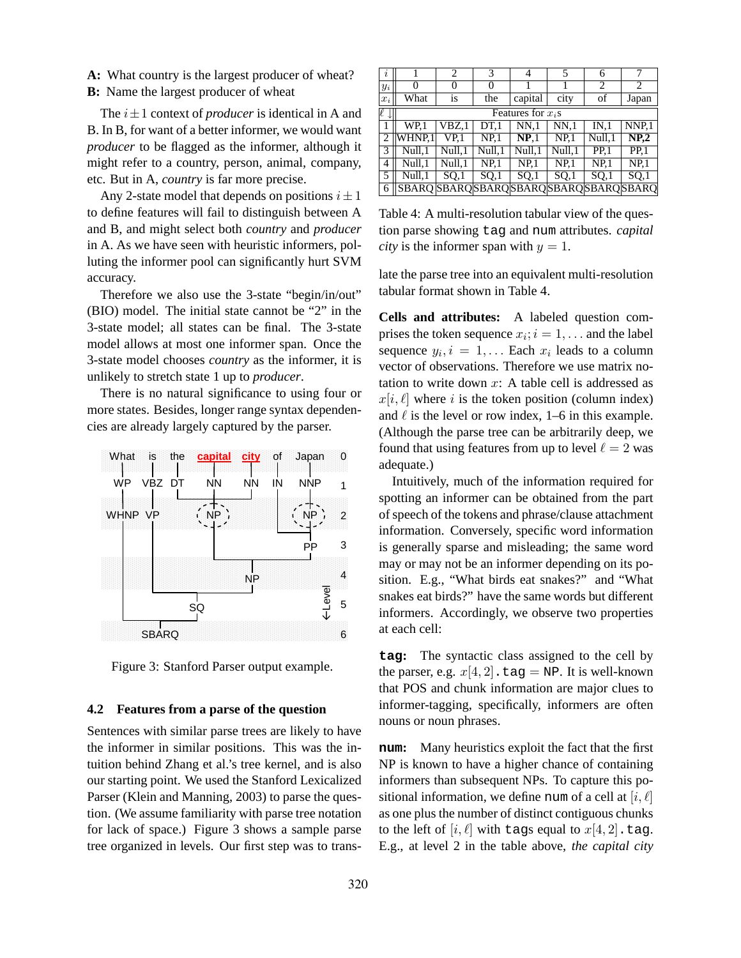**A:** What country is the largest producer of wheat? **B:** Name the largest producer of wheat

The  $i \pm 1$  context of *producer* is identical in A and B. In B, for want of a better informer, we would want *producer* to be flagged as the informer, although it might refer to a country, person, animal, company, etc. But in A, *country* is far more precise.

Any 2-state model that depends on positions  $i \pm 1$ to define features will fail to distinguish between A and B, and might select both *country* and *producer* in A. As we have seen with heuristic informers, polluting the informer pool can significantly hurt SVM accuracy.

Therefore we also use the 3-state "begin/in/out" (BIO) model. The initial state cannot be "2" in the 3-state model; all states can be final. The 3-state model allows at most one informer span. Once the 3-state model chooses *country* as the informer, it is unlikely to stretch state 1 up to *producer*.

There is no natural significance to using four or more states. Besides, longer range syntax dependencies are already largely captured by the parser.



Figure 3: Stanford Parser output example.

#### **4.2 Features from a parse of the question**

Sentences with similar parse trees are likely to have the informer in similar positions. This was the intuition behind Zhang et al.'s tree kernel, and is also our starting point. We used the Stanford Lexicalized Parser (Klein and Manning, 2003) to parse the question. (We assume familiarity with parse tree notation for lack of space.) Figure 3 shows a sample parse tree organized in levels. Our first step was to trans-

| i              |                                           | 2       | 3               | 4               | 5               | 6               |                   |  |
|----------------|-------------------------------------------|---------|-----------------|-----------------|-----------------|-----------------|-------------------|--|
| $y_i$          | 0                                         | 0       | $\theta$        |                 |                 | 2               | 2                 |  |
| $x_i$          | What                                      | is      | the             | capital         | city            | of              | Japan             |  |
| e<br>↓         | Features for $x_i$ s                      |         |                 |                 |                 |                 |                   |  |
| 1              | WP.1                                      | VBZ.1   | DT <sub>1</sub> | NN.1            | NN <sub>1</sub> | IN.1            | NNP.1             |  |
| $\overline{2}$ | WHNP.1                                    | VP.1    | NP <sub>1</sub> | NP <sub>1</sub> | NP <sub>1</sub> | Null,1          | NP <sub>2</sub>   |  |
| 3              | Null,1                                    | Null, 1 | Null,1          | Null.1          | Null, 1         | PP <sub>1</sub> | $\overline{PP.1}$ |  |
| 4              | Null,1                                    | Null,1  | NP <sub>1</sub> | NP <sub>1</sub> | NP <sub>1</sub> | NP <sub>1</sub> | NP <sub>1</sub>   |  |
| 5              | Null.1                                    | SO,1    | SO,1            | SO,1            | SO <sub>1</sub> | SO,1            | SO <sub>1</sub>   |  |
| 6              | SBARO SBARO SBARO SBARO SBARO SBARO SBARO |         |                 |                 |                 |                 |                   |  |

Table 4: A multi-resolution tabular view of the question parse showing tag and num attributes. *capital city* is the informer span with  $y = 1$ .

late the parse tree into an equivalent multi-resolution tabular format shown in Table 4.

**Cells and attributes:** A labeled question comprises the token sequence  $x_i$ ;  $i = 1, \ldots$  and the label sequence  $y_i$ ,  $i = 1, \ldots$  Each  $x_i$  leads to a column vector of observations. Therefore we use matrix notation to write down  $x$ : A table cell is addressed as  $x[i, \ell]$  where i is the token position (column index) and  $\ell$  is the level or row index, 1–6 in this example. (Although the parse tree can be arbitrarily deep, we found that using features from up to level  $\ell = 2$  was adequate.)

Intuitively, much of the information required for spotting an informer can be obtained from the part of speech of the tokens and phrase/clause attachment information. Conversely, specific word information is generally sparse and misleading; the same word may or may not be an informer depending on its position. E.g., "What birds eat snakes?" and "What snakes eat birds?" have the same words but different informers. Accordingly, we observe two properties at each cell:

**tag:** The syntactic class assigned to the cell by the parser, e.g.  $x[4, 2]$ . tag = NP. It is well-known that POS and chunk information are major clues to informer-tagging, specifically, informers are often nouns or noun phrases.

**num:** Many heuristics exploit the fact that the first NP is known to have a higher chance of containing informers than subsequent NPs. To capture this positional information, we define num of a cell at  $[i, \ell]$ as one plus the number of distinct contiguous chunks to the left of  $[i, \ell]$  with tags equal to  $x[4, 2]$ .tag. E.g., at level 2 in the table above, *the capital city*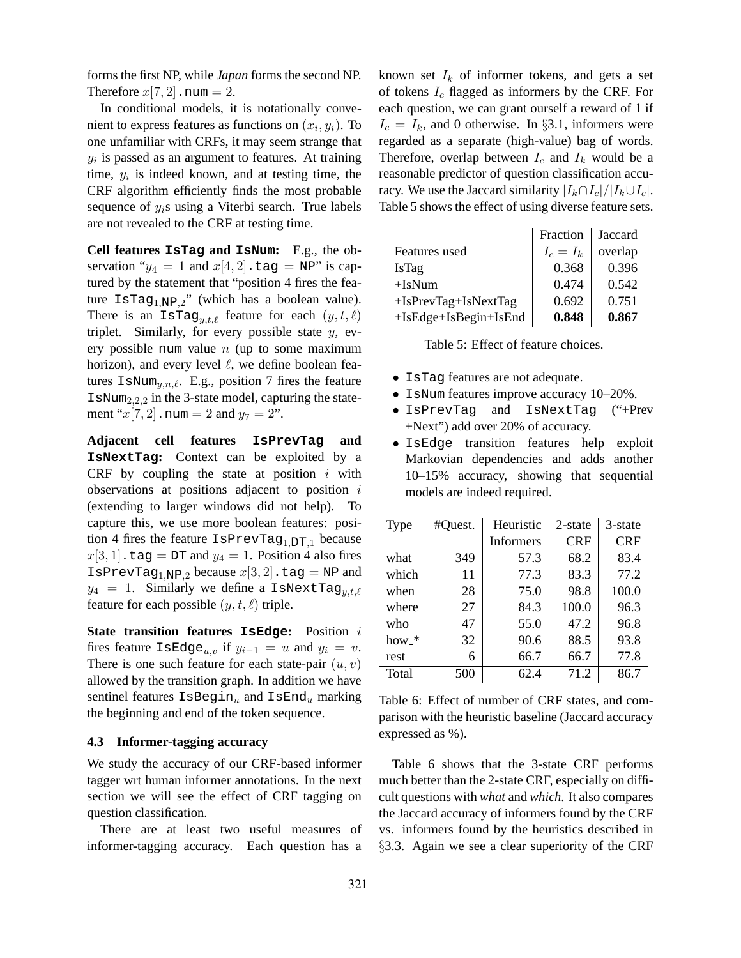forms the first NP, while *Japan* forms the second NP. Therefore  $x[7, 2]$ . num = 2.

In conditional models, it is notationally convenient to express features as functions on  $(x_i, y_i)$ . To one unfamiliar with CRFs, it may seem strange that  $y_i$  is passed as an argument to features. At training time,  $y_i$  is indeed known, and at testing time, the CRF algorithm efficiently finds the most probable sequence of  $y_i$ s using a Viterbi search. True labels are not revealed to the CRF at testing time.

**Cell features IsTag and IsNum:** E.g., the observation " $y_4 = 1$  and  $x[4, 2]$ . tag = NP" is captured by the statement that "position 4 fires the feature  $\text{IsTag}_{1,\text{NP},2}$ " (which has a boolean value). There is an IsTag<sub>y,t, $\ell$ </sub> feature for each  $(y, t, \ell)$ triplet. Similarly, for every possible state  $y$ , every possible num value  $n$  (up to some maximum horizon), and every level  $\ell$ , we define boolean features  $\text{IsNum}_{u,n,\ell}$ . E.g., position 7 fires the feature  $I$ sNum<sub>2,2,2</sub> in the 3-state model, capturing the statement " $x[7, 2]$ . num = 2 and  $y_7 = 2$ ".

**Adjacent cell features IsPrevTag and IsNextTag:** Context can be exploited by a CRF by coupling the state at position  $i$  with observations at positions adjacent to position  $i$ (extending to larger windows did not help). To capture this, we use more boolean features: position 4 fires the feature  $I$ sPrevTag<sub>1,DT,1</sub> because  $x[3, 1]$ .tag = DT and  $y_4 = 1$ . Position 4 also fires IsPrevTag<sub>1,NP,2</sub> because  $x[3, 2]$ .tag = NP and  $y_4 = 1$ . Similarly we define a IsNextTag<sub>utle</sub> feature for each possible  $(y, t, \ell)$  triple.

**State transition features IsEdge:** Position i fires feature IsEdge<sub>u,v</sub> if  $y_{i-1} = u$  and  $y_i = v$ . There is one such feature for each state-pair  $(u, v)$ allowed by the transition graph. In addition we have sentinel features  $\text{IsBegin}_u$  and  $\text{IsEnd}_u$  marking the beginning and end of the token sequence.

### **4.3 Informer-tagging accuracy**

We study the accuracy of our CRF-based informer tagger wrt human informer annotations. In the next section we will see the effect of CRF tagging on question classification.

There are at least two useful measures of informer-tagging accuracy. Each question has a known set  $I_k$  of informer tokens, and gets a set of tokens  $I_c$  flagged as informers by the CRF. For each question, we can grant ourself a reward of 1 if  $I_c = I_k$ , and 0 otherwise. In §3.1, informers were regarded as a separate (high-value) bag of words. Therefore, overlap between  $I_c$  and  $I_k$  would be a reasonable predictor of question classification accuracy. We use the Jaccard similarity  $|I_k \cap I_c|/|I_k \cup I_c|$ . Table 5 shows the effect of using diverse feature sets.

|                        | Fraction    | Jaccard |
|------------------------|-------------|---------|
| Features used          | $I_c = I_k$ | overlap |
| <b>IsTag</b>           | 0.368       | 0.396   |
| $+IsNum$               | 0.474       | 0.542   |
| $+IsPrevTag+IsNextTag$ | 0.692       | 0.751   |
| +IsEdge+IsBegin+IsEnd  | 0.848       | 0.867   |

Table 5: Effect of feature choices.

- IsTag features are not adequate.
- IsNum features improve accuracy 10–20%.
- IsPrevTag and IsNextTag ("+Prev +Next") add over 20% of accuracy.
- IsEdge transition features help exploit Markovian dependencies and adds another 10–15% accuracy, showing that sequential models are indeed required.

| <b>Type</b> | #Quest. | Heuristic        | $2$ -state | 3-state    |
|-------------|---------|------------------|------------|------------|
|             |         | <b>Informers</b> | <b>CRF</b> | <b>CRF</b> |
| what        | 349     | 57.3             | 68.2       | 83.4       |
| which       | 11      | 77.3             | 83.3       | 77.2       |
| when        | 28      | 75.0             | 98.8       | 100.0      |
| where       | 27      | 84.3             | 100.0      | 96.3       |
| who         | 47      | 55.0             | 47.2       | 96.8       |
| how_*       | 32      | 90.6             | 88.5       | 93.8       |
| rest        | 6       | 66.7             | 66.7       | 77.8       |
| Total       | 500     | 62.4             | 71.2       | 86.7       |

Table 6: Effect of number of CRF states, and comparison with the heuristic baseline (Jaccard accuracy expressed as %).

Table 6 shows that the 3-state CRF performs much better than the 2-state CRF, especially on difficult questions with *what* and *which*. It also compares the Jaccard accuracy of informers found by the CRF vs. informers found by the heuristics described in §3.3. Again we see a clear superiority of the CRF